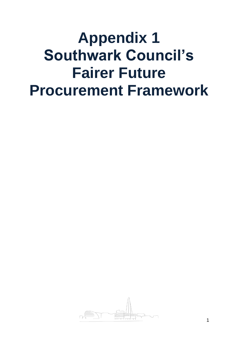# **Appendix 1 Southwark Council's Fairer Future Procurement Framework**

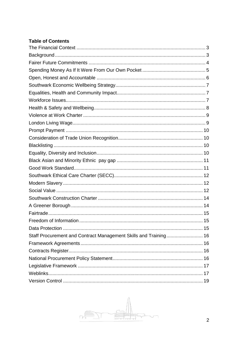## **Table of Contents**

| Staff Procurement and Contract Management Skills and Training 16 |  |
|------------------------------------------------------------------|--|
|                                                                  |  |
|                                                                  |  |
|                                                                  |  |
|                                                                  |  |
|                                                                  |  |
|                                                                  |  |

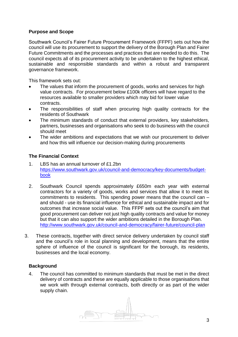## **Purpose and Scope**

Southwark Council's Fairer Future Procurement Framework (FFPF) sets out how the council will use its procurement to support the delivery of the Borough Plan and Fairer Future Commitments and the processes and practices that are needed to do this. The council expects all of its procurement activity to be undertaken to the highest ethical, sustainable and responsible standards and within a robust and transparent governance framework.

This framework sets out:

- The values that inform the procurement of goods, works and services for high value contracts. For procurement below £100k officers will have regard to the resources available to smaller providers which may bid for lower value contracts.
- The responsibilities of staff when procuring high quality contracts for the residents of Southwark
- The minimum standards of conduct that external providers, key stakeholders, partners, businesses and organisations who seek to do business with the council should meet
- The wider ambitions and expectations that we wish our procurement to deliver and how this will influence our decision-making during procurements

## <span id="page-2-0"></span>**The Financial Context**

- 1. LBS has an annual turnover of £1.2bn [https://www.southwark.gov.uk/council-and-democracy/key-documents/budget](https://www.southwark.gov.uk/council-and-democracy/key-documents/budget-book)[book](https://www.southwark.gov.uk/council-and-democracy/key-documents/budget-book)
- 2. Southwark Council spends approximately £650m each year with external contractors for a variety of goods, works and services that allow it to meet its commitments to residents. This spending power means that the council can – and should - use its financial influence for ethical and sustainable impact and for outcomes that increase social value. This FFPF sets out the council's aim that good procurement can deliver not just high quality contracts and value for money but that it can also support the wider ambitions detailed in the Borough Plan. <http://www.southwark.gov.uk/council-and-democracy/fairer-future/council-plan>
- 3. These contracts, together with direct service delivery undertaken by council staff and the council's role in local planning and development, means that the entire sphere of influence of the council is significant for the borough, its residents, businesses and the local economy.

## <span id="page-2-1"></span>**Background**

4. The council has committed to minimum standards that must be met in the direct delivery of contracts and these are equally applicable to those organisations that we work with through external contracts, both directly or as part of the wider supply chain.

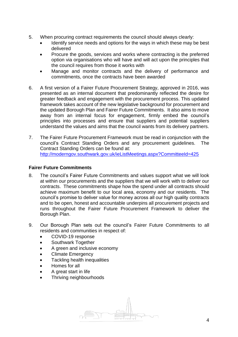- 5. When procuring contract requirements the council should always clearly:
	- Identify service needs and options for the ways in which these may be best delivered
	- Procure the goods, services and works where contracting is the preferred option via organisations who will have and will act upon the principles that the council requires from those it works with
	- Manage and monitor contracts and the delivery of performance and commitments, once the contracts have been awarded
- 6. A first version of a Fairer Future Procurement Strategy, approved in 2016, was presented as an internal document that predominantly reflected the desire for greater feedback and engagement with the procurement process. This updated framework takes account of the new legislative background for procurement and the updated Borough Plan and Fairer Future Commitments. It also aims to move away from an internal focus for engagement, firmly embed the council's principles into processes and ensure that suppliers and potential suppliers understand the values and aims that the council wants from its delivery partners.
- 7. The Fairer Future Procurement Framework must be read in conjunction with the council's Contract Standing Orders and any procurement guidelines. The Contract Standing Orders can be found at: <http://moderngov.southwark.gov.uk/ieListMeetings.aspx?CommitteeId=425>

#### <span id="page-3-0"></span>**Fairer Future Commitments**

- 8. The council's Fairer Future Commitments and values support what we will look at within our procurements and the suppliers that we will work with to deliver our contracts. These commitments shape how the spend under all contracts should achieve maximum benefit to our local area, economy and our residents. The council's promise to deliver value for money across all our high quality contracts and to be open, honest and accountable underpins all procurement projects and runs throughout the Fairer Future Procurement Framework to deliver the Borough Plan.
- 9. Our Borough Plan sets out the council's Fairer Future Commitments to all residents and communities in respect of:
	- COVID-19 response
	- Southwark Together
	- A green and inclusive economy
	- Climate Emergency
	- Tackling health inequalities
	- Homes for all
	- [A great start in life](http://www.southwark.gov.uk/council-and-democracy/fairer-future/fairer-future-commitments?chapter=7)
	- [Thriving](http://www.southwark.gov.uk/council-and-democracy/fairer-future/fairer-future-commitments?chapter=8) neighbourhoods

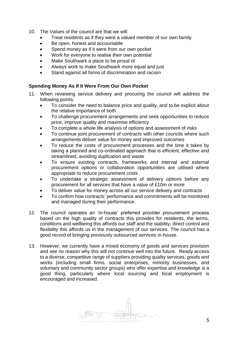- 10. The Values of the council are that we will:
	- Treat residents as if they were a valued member of our own family
	- Be open, honest and accountable
	- Spend money as if it were from our own pocket
	- Work for everyone to realise their own potential
	- Make Southwark a place to be proud of
	- Always work to make Southwark more equal and just
	- Stand against all forms of discrimination and racism

#### <span id="page-4-0"></span>**Spending Money As If It Were From Our Own Pocket**

- 11. When reviewing service delivery and procuring the council will address the following points:
	- To consider the need to balance price and quality, and to be explicit about the relative importance of both
	- To challenge procurement arrangements and seek opportunities to reduce price, improve quality and maximise efficiency
	- To complete a whole life analysis of options and assessment of risks
	- To continue joint procurement of contracts with other councils where such arrangements deliver value for money and improved outcomes
	- To reduce the costs of procurement processes and the time it takes by taking a planned and co-ordinated approach that is efficient, effective and streamlined, avoiding duplication and waste
	- To ensure existing contracts, frameworks and internal and external procurement options or collaboration opportunities are utilised where appropriate to reduce procurement costs
	- To undertake a strategic assessment of delivery options before any procurement for all services that have a value of £10m or more
	- To deliver value for money across all our service delivery and contracts
	- To confirm how contracts' performance and commitments will be monitored and managed during their performance.
- 12. The council operates an 'in-house' preferred provider procurement process based on the high quality of contracts this provides for residents, the terms, conditions and wellbeing this affords our staff and the stability, direct control and flexibility this affords us in the management of our services. The council has a good record of bringing previously outsourced services in-house.
- 13. However, we currently have a mixed economy of goods and services provision and see no reason why this will not continue well into the future. Ready access to a diverse, competitive range of suppliers providing quality services, goods and works (including small firms, social enterprises, minority businesses, and voluntary and community sector groups) who offer expertise and knowledge is a good thing, particularly where local sourcing and local employment is encouraged and increased.

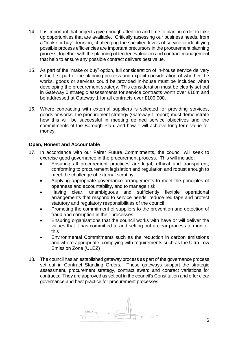- 14. It is important that projects give enough attention and time to plan, in order to take up opportunities that are available. Critically assessing our business needs, from a "make or buy" decision, challenging the specified levels of service or identifying possible process efficiencies are important precursors in the procurement planning process, together with the planning of tender evaluation and contract management that help to ensure any possible contract delivers best value.
- 15. As part of the "make or buy" option, full consideration of in-house service delivery is the first part of the planning process and explicit consideration of whether the works, goods or services could be provided in-house must be included when developing the procurement strategy. This consideration must be clearly set out in Gateway 0 strategic assessments for service contracts worth over £10m and be addressed at Gateway 1 for all contracts over £100,000.
- 16. Where contracting with external suppliers is selected for providing services, goods or works, the procurement strategy (Gateway 1 report) must demonstrate how this will be successful in meeting defined service objectives and the commitments of the Borough Plan, and how it will achieve long term value for money.

#### <span id="page-5-0"></span>**Open, Honest and Accountable**

- 17. In accordance with our Fairer Future Commitments, the council will seek to exercise good governance in the procurement process. This will include:
	- Ensuring all procurement practices are legal, ethical and transparent, conforming to procurement legislation and regulation and robust enough to meet the challenge of external scrutiny
	- Applying appropriate governance arrangements to meet the principles of openness and accountability, and to manage risk
	- Having clear, unambiguous and sufficiently flexible operational arrangements that respond to service needs, reduce red tape and protect statutory and regulatory responsibilities of the council
	- Promoting the commitment of suppliers to the prevention and detection of fraud and corruption in their processes
	- Ensuring organisations that the council works with have or will deliver the values that it has committed to and setting out a clear process to monitor this
	- Environmental Commitments such as the reduction in carbon emissions and where appropriate, complying with requirements such as the Ultra Low Emission Zone (ULEZ)
- 18. The council has an established gateway process as part of the governance process set out in Contract Standing Orders. These gateways support the strategic assessment, procurement strategy, contract award and contract variations for contracts. They are approved as set out in the council's Constitution and offer clear governance and best practice for procurement processes.

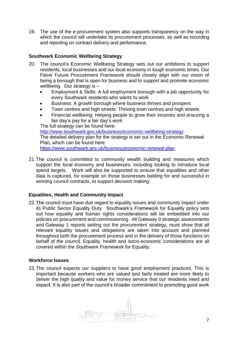19. The use of the e-procurement system also supports transparency on the way in which the council will undertake its procurement processes, as well as recording and reporting on contract delivery and performance.

## <span id="page-6-0"></span>**Southwark Economic Wellbeing Strategy**

- 20. The council's Economic Wellbeing Strategy sets out our ambitions to support residents, local businesses and our local economy in tough economic times. Our Fairer Future Procurement Framework should closely align with our vision of being a borough that is open for business and to support and promote economic wellbeing. Our strategy is -
	- Employment & Skills: A full employment borough with a job opportunity for every Southwark residents who wants to work
	- Business: A growth borough where business thrives and prospers
	- Town centres and high streets: Thriving town centres and high streets
	- Financial wellbeing: Helping people to grow their incomes and ensuring a fair day's pay for a fair day's work

The full strategy can be found here:

<http://www.southwark.gov.uk/business/economic-wellbeing-strategy> The detailed delivery plan for the strategy is set out in the Economic Renewal Plan, which can be found here: <https://www.southwark.gov.uk/business/economic-renewal-plan>

21.The council is committed to community wealth building and measures which support the local economy and businesses, including looking to introduce local spend targets. Work will also be supported to ensure that equalities and other data is captured, for example on those businesses bidding for and successful in winning council contracts, to support decision making.

## <span id="page-6-1"></span>**Equalities, Health and Community Impact**

22.The council must have due regard to equality issues and community impact under its Public Sector Equality Duty. Southwark's Framework for Equality policy sets out how equality and human rights considerations will be embedded into our policies on procurement and commissioning. All Gateway 0 strategic assessments and Gateway 1 reports setting out the procurement strategy, must show that all relevant equality issues and obligations are taken into account and planned throughout both the procurement process and in the delivery of those functions on behalf of the council. Equality, health and socio-economic considerations are all covered within the Southwark Framework for Equality.

#### <span id="page-6-2"></span>**Workforce Issues**

23.The council expects our suppliers to have good employment practices. This is important because workers who are valued and fairly treated are more likely to deliver the high quality and value for money service that our residents need and expect. It is also part of the council's broader commitment to promoting good work

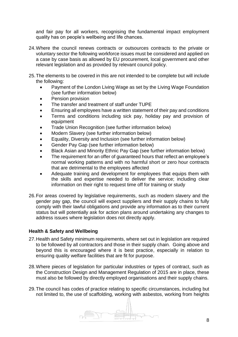and fair pay for all workers, recognising the fundamental impact employment quality has on people's wellbeing and life chances.

- 24.Where the council renews contracts or outsources contracts to the private or voluntary sector the following workforce issues must be considered and applied on a case by case basis as allowed by EU procurement, local government and other relevant legislation and as provided by relevant council policy.
- 25.The elements to be covered in this are not intended to be complete but will include the following:
	- Payment of the London Living Wage as set by the Living Wage Foundation (see further information below)
	- Pension provision
	- The transfer and treatment of staff under TUPE
	- Ensuring all employees have a written statement of their pay and conditions
	- Terms and conditions including sick pay, holiday pay and provision of equipment
	- Trade Union Recognition (see further information below)
	- Modern Slavery (see further information below)
	- Equality, Diversity and Inclusion (see further information below)
	- Gender Pay Gap (see further information below)
	- Black Asian and Minority Ethnic Pay Gap (see further information below)
	- The requirement for an offer of guaranteed hours that reflect an employee's normal working patterns and with no harmful short or zero hour contracts that are detrimental to the employees affected
	- Adequate training and development for employees that equips them with the skills and expertise needed to deliver the service; including clear information on their right to request time off for training or study
- 26.For areas covered by legislative requirements, such as modern slavery and the gender pay gap, the council will expect suppliers and their supply chains to fully comply with their lawful obligations and provide any information as to their current status but will potentially ask for action plans around undertaking any changes to address issues where legislation does not directly apply.

## <span id="page-7-0"></span>**Health & Safety and Wellbeing**

- 27. Health and Safety minimum requirements, where set out in legislation are required to be followed by all contractors and those in their supply chain. Going above and beyond this is encouraged where it is best practice, especially in relation to ensuring quality welfare facilities that are fit for purpose.
- 28.Where pieces of legislation for particular industries or types of contract, such as the Construction Design and Management Regulation of 2015 are in place, these must also be followed by directly employed organisations and their supply chains.
- 29.The council has codes of practice relating to specific circumstances, including but not limited to, the use of scaffolding, working with asbestos, working from heights

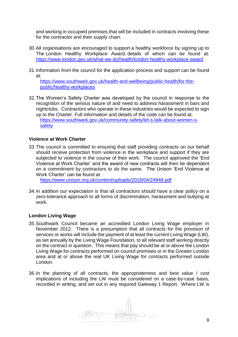and working in occupied premises that will be included in contracts involving these for the contractor and their supply chain.

- 30.All organisations are encouraged to support a healthy workforce by signing up to The London Healthy Workplace Award, details of which can be found at: <https://www.london.gov.uk/what-we-do/health/london-healthy-workplace-award>
- 31.Information from the council for the application process and support can be found at:

[https://www.southwark.gov.uk/health-and-wellbeing/public-health/for-the](https://www.southwark.gov.uk/health-and-wellbeing/public-health/for-the-public/healthy-workplaces)[public/healthy-workplaces](https://www.southwark.gov.uk/health-and-wellbeing/public-health/for-the-public/healthy-workplaces)

32.The Women's Safety Charter was developed by the council in response to the recognition of the serious nature of and need to address harassment in bars and nightclubs. Contractors who operate in these industries would be expected to sign up to the Charter. Full information and details of the code can be found at: [https://www.southwark.gov.uk/community-safety/let-s-talk-about-women-s](https://www.southwark.gov.uk/community-safety/let-s-talk-about-women-s-safety)[safety](https://www.southwark.gov.uk/community-safety/let-s-talk-about-women-s-safety)

#### <span id="page-8-0"></span>**Violence at Work Charter**

33.The council is committed to ensuring that staff providing contracts on our behalf should receive protection from violence in the workplace and support if they are subjected to violence in the course of their work. The council approved the 'End Violence at Work Charter' and the award of new contracts will then be dependent on a commitment by contractors to do the same. The Unison 'End Violence at Work Charter' can be found at

<https://www.unison.org.uk/content/uploads/2018/04/24948.pdf>

34.In addition our expectation is that all contractors should have a clear policy on a zero-tolerance approach to all forms of discrimination, harassment and bullying at work.

## <span id="page-8-1"></span>**London Living Wage**

- 35.Southwark Council became an accredited London Living Wage employer in November 2012. There is a presumption that all contracts for the provision of services or works will include the payment of at least the current Living Wage (LW), as set annually by the Living Wage Foundation, to all relevant staff working directly on the contract in question. This means that pay should be at or above the London Living Wage for contracts performed on council premises or in the Greater London area and at or above the real UK Living Wage for contracts performed outside London.
- 36.In the planning of all contracts, the appropriateness and best value / cost implications of including the LW must be considered on a case-by-case basis, recorded in writing, and set out in any required Gateway 1 Report. Where LW is

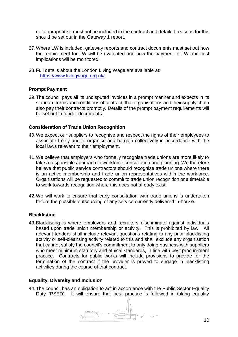not appropriate it must not be included in the contract and detailed reasons for this should be set out in the Gateway 1 report.

- 37.Where LW is included, gateway reports and contract documents must set out how the requirement for LW will be evaluated and how the payment of LW and cost implications will be monitored.
- 38.Full details about the London Living Wage are available at: <https://www.livingwage.org.uk/>

## <span id="page-9-0"></span>**Prompt Payment**

39.The council pays all its undisputed invoices in a prompt manner and expects in its standard terms and conditions of contract, that organisations and their supply chain also pay their contracts promptly. Details of the prompt payment requirements will be set out in tender documents.

#### <span id="page-9-1"></span>**Consideration of Trade Union Recognition**

- 40.We expect our suppliers to recognise and respect the rights of their employees to associate freely and to organise and bargain collectively in accordance with the local laws relevant to their employment.
- 41.We believe that employers who formally recognise trade unions are more likely to take a responsible approach to workforce consultation and planning. We therefore believe that public service contractors should recognise trade unions where there is an active membership and trade union representatives within the workforce. Organisations will be requested to commit to trade union recognition or a timetable to work towards recognition where this does not already exist.
- 42.We will work to ensure that early consultation with trade unions is undertaken before the possible outsourcing of any service currently delivered in-house.

#### <span id="page-9-2"></span>**Blacklisting**

43.Blacklisting is where employers and recruiters discriminate against individuals based upon trade union membership or activity. This is prohibited by law. All relevant tenders shall include relevant questions relating to any prior blacklisting activity or self-cleansing activity related to this and shall exclude any organisation that cannot satisfy the council's commitment to only doing business with suppliers who meet minimum statutory and ethical standards, in line with best procurement practice. Contracts for public works will include provisions to provide for the termination of the contract if the provider is proved to engage in blacklisting activities during the course of that contract.

## <span id="page-9-3"></span>**Equality, Diversity and Inclusion**

44.The council has an obligation to act in accordance with the Public Sector Equality Duty (PSED). It will ensure that best practice is followed in taking equality

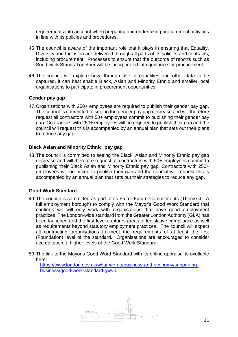requirements into account when preparing and undertaking procurement activities in line with its policies and procedures.

- 45.The council is aware of the important role that it plays in ensuring that Equality, Diversity and Inclusion are delivered through all parts of its policies and contracts, including procurement. Processes to ensure that the outcome of reports such as Southwark Stands Together will be incorporated into guidance for procurement.
- 46.The council will explore how, through use of equalities and other data to be captured, it can best enable Black, Asian and Minority Ethnic and smaller local organisations to participate in procurement opportunities.

#### **Gender pay gap**

47.Organisations with 250+ employees are required to publish their gender pay gap. The council is committed to seeing the gender pay gap decrease and will therefore request all contractors with 50+ employees commit to publishing their gender pay gap. Contractors with 250+ employees will be required to publish their gap and the council will request this is accompanied by an annual plan that sets out their plans to reduce any gap.

#### <span id="page-10-0"></span>**Black Asian and Minority Ethnic pay gap**

48.The council is committed to seeing the Black, Asian and Minority Ethnic pay gap decrease and will therefore request all contractors with 50+ employees commit to publishing their Black Asian and Minority Ethnic pay gap. Contractors with 250+ employees will be asked to publish their gap and the council will request this is accompanied by an annual plan that sets out their strategies to reduce any gap.

#### <span id="page-10-1"></span>**Good Work Standard**

- 49.The council is committed as part of its Fairer Future Commitments (Theme 4 A full employment borough) to comply with the Mayor's Good Work Standard that confirms we will only work with organisations that have good employment practices. The London-wide standard from the Greater London Authority (GLA) has been launched and the first level captures areas of legislative compliance as well as requirements beyond statutory employment practices. The council will expect all contracting organisations to meet the requirements of at least the first (Foundation) level of the standard. Organisations are encouraged to consider accreditation to higher levels of the Good Work Standard.
- 50.The link to the Mayor's Good Word Standard with its online appraisal is available here:

[https://www.london.gov.uk/what-we-do/business-and-economy/supporting](https://www.london.gov.uk/what-we-do/business-and-economy/supporting-business/good-work-standard-gws-0)[business/good-work-standard-gws-0](https://www.london.gov.uk/what-we-do/business-and-economy/supporting-business/good-work-standard-gws-0)

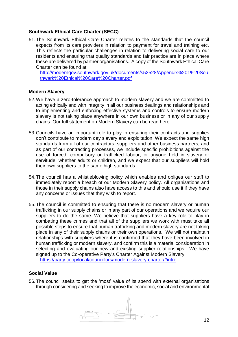## <span id="page-11-0"></span>**Southwark Ethical Care Charter (SECC)**

51.The Southwark Ethical Care Charter relates to the standards that the council expects from its care providers in relation to payment for travel and training etc. This reflects the particular challenges in relation to delivering social care to our residents and ensuring that quality standards and fair practice are in place where these are delivered by partner organisations. A copy of the Southwark Ethical Care Charter can be found at:

[http://moderngov.southwark.gov.uk/documents/s52528/Appendix%201%20Sou](http://moderngov.southwark.gov.uk/documents/s52528/Appendix%201%20Southwark%20Ethical%20Care%20Charter.pdf) [thwark%20Ethical%20Care%20Charter.pdf](http://moderngov.southwark.gov.uk/documents/s52528/Appendix%201%20Southwark%20Ethical%20Care%20Charter.pdf)

#### <span id="page-11-1"></span>**Modern Slavery**

- 52.We have a zero-tolerance approach to modern slavery and we are committed to acting ethically and with integrity in all our business dealings and relationships and to implementing and enforcing effective systems and controls to ensure modern slavery is not taking place anywhere in our own business or in any of our supply chains. Our full statement on Modern Slavery can be read here.
- 53.Councils have an important role to play in ensuring their contracts and supplies don't contribute to modern day slavery and exploitation. We expect the same high standards from all of our contractors, suppliers and other business partners, and as part of our contracting processes, we include specific prohibitions against the use of forced, compulsory or trafficked labour, or anyone held in slavery or servitude, whether adults or children, and we expect that our suppliers will hold their own suppliers to the same high standards.
- 54.The council has a whistleblowing policy which enables and obliges our staff to immediately report a breach of our Modern Slavery policy. All organisations and those in their supply chains also have access to this and should use it if they have any concerns or issues that they wish to report.
- 55.The council is committed to ensuring that there is no modern slavery or human trafficking in our supply chains or in any part of our operations and we require our suppliers to do the same. We believe that suppliers have a key role to play in combating these crimes and that all of the suppliers we work with must take all possible steps to ensure that human trafficking and modern slavery are not taking place in any of their supply chains or their own operations. We will not maintain relationships with suppliers where it is confirmed that they have been involved in human trafficking or modern slavery, and confirm this is a material consideration in selecting and evaluating our new and existing supplier relationships. We have signed up to the Co-operative Party's Charter Against Modern Slavery: <https://party.coop/local/councillors/modern-slavery-charter/#intro>

#### <span id="page-11-2"></span>**Social Value**

56.The council seeks to get the 'most' value of its spend with external organisations through considering and seeking to improve the economic, social and environmental

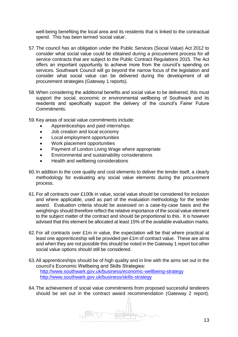well-being benefiting the local area and its residents that is linked to the contractual spend. This has been termed 'social value'.

- 57.The council has an obligation under the Public Services (Social Value) Act 2012 to consider what social value could be obtained during a procurement process for all service contracts that are subject to the Public Contract Regulations 2015. The Act offers an important opportunity to achieve more from the council's spending on services. Southwark Council will go beyond the narrow focus of the legislation and consider what social value can be delivered during the development of all procurement strategies (Gateway 1 reports).
- 58.When considering the additional benefits and social value to be delivered, this must support the social, economic or environmental wellbeing of Southwark and its residents and specifically support the delivery of the council's Fairer Future Commitments.
- 59.Key areas of social value commitments include:
	- Apprenticeships and paid internships
	- Job creation and local economy
	- Local employment opportunities
	- Work placement opportunities
	- Payment of London Living Wage where appropriate
	- Environmental and sustainability considerations
	- Health and wellbeing considerations
- 60.In addition to the core quality and cost elements to deliver the tender itself, a clearly methodology for evaluating any social value elements during the procurement process.
- 61.For all contracts over £100k in value, social value should be considered for inclusion and where applicable, used as part of the evaluation methodology for the tender award. Evaluation criteria should be assessed on a case-by-case basis and the weightings should therefore reflect the relative importance of the social value element to the subject matter of the contract and should be proportional to this. It is however advised that this element be allocated at least 15% of the available evaluation marks.
- 62.For all contracts over £1m in value, the expectation will be that where practical at least one apprenticeship will be provided per £1m of contract value. These are aims and when they are not possible this should be noted in the Gateway 1 report but other social value options should still be considered.
- 63.All apprenticeships should be of high quality and in line with the aims set out in the council's Economic Wellbeing and Skills Strategies: <http://www.southwark.gov.uk/business/economic-wellbeing-strategy> <http://www.southwark.gov.uk/business/skills-strategy>
- 64.The achievement of social value commitments from proposed successful tenderers should be set out in the contract award recommendation (Gateway 2 report).

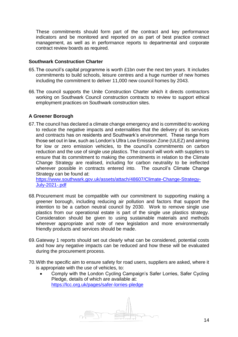These commitments should form part of the contract and key performance indicators and be monitored and reported on as part of best practice contract management, as well as in performance reports to departmental and corporate contract review boards as required.

#### <span id="page-13-0"></span>**Southwark Construction Charter**

- 65.The council's capital programme is worth £1bn over the next ten years. It includes commitments to build schools, leisure centres and a huge number of new homes including the commitment to deliver 11,000 new council homes by 2043.
- 66.The council supports the Unite Construction Charter which it directs contractors working on Southwark Council construction contracts to review to support ethical employment practices on Southwark construction sites.

## <span id="page-13-1"></span>**A Greener Borough**

67.The council has declared a climate change emergency and is committed to working to reduce the negative impacts and externalities that the delivery of its services and contracts has on residents and Southwark's environment. These range from those set out in law, such as London's Ultra Low Emission Zone (ULEZ) and aiming for low or zero emission vehicles, to the council's commitments on carbon reduction and the use of single use plastics. The council will work with suppliers to ensure that its commitment to making the commitments in relation to the Climate Change Strategy are realised, including for carbon neutrality to be ireflected wherever possible in contracts entered into. The council's Climate Change Strategy can be found at:

[https://www.southwark.gov.uk/assets/attach/48607/Climate-Change-Strategy-](https://www.southwark.gov.uk/assets/attach/48607/Climate-Change-Strategy-July-2021-.pdf)[July-2021-.pdf](https://www.southwark.gov.uk/assets/attach/48607/Climate-Change-Strategy-July-2021-.pdf)

- 68.Procurement must be compatible with our commitment to supporting making a greener borough, including reducing air pollution and factors that support the intention to be a carbon neutral council by 2030. Work to remove single use plastics from our operational estate is part of the single use plastics strategy. Consideration should be given to using sustainable materials and methods wherever appropriate and note of new legislation and more environmentally friendly products and services should be made.
- 69.Gateway 1 reports should set out clearly what can be considered, potential costs and how any negative impacts can be reduced and how these will be evaluated during the procurement process.
- 70.With the specific aim to ensure safety for road users, suppliers are asked, where it is appropriate with the use of vehicles, to:
	- Comply with the London Cycling Campaign's Safer Lorries, Safer Cycling Pledge, details of which are available at: <https://lcc.org.uk/pages/safer-lorries-pledge>

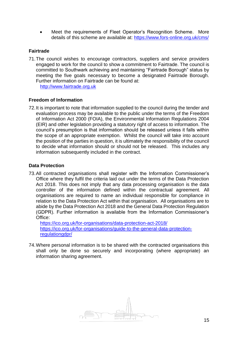Meet the requirements of Fleet Operator's Recognition Scheme. More details of this scheme are available at:<https://www.fors-online.org.uk/cms/>

## <span id="page-14-0"></span>**Fairtrade**

71.The council wishes to encourage contractors, suppliers and service providers engaged to work for the council to show a commitment to Fairtrade. The council is committed to Southwark achieving and maintaining "Fairtrade Borough" status by meeting the five goals necessary to become a designated Fairtrade Borough. Further information on Fairtrade can be found at: [http://www.fairtrade.org.uk](http://www.fairtrade.org.uk/)

## <span id="page-14-1"></span>**Freedom of Information**

72.It is important to note that information supplied to the council during the tender and evaluation process may be available to the public under the terms of the Freedom of Information Act 2000 (FOIA), the Environmental Information Regulations 2004 (EIR) and other legislation providing a statutory right of access to information. The council's presumption is that information should be released unless it falls within the scope of an appropriate exemption. Whilst the council will take into account the position of the parties in question, it is ultimately the responsibility of the council to decide what information should or should not be released. This includes any information subsequently included in the contract.

## <span id="page-14-2"></span>**Data Protection**

73.All contracted organisations shall register with the Information Commissioner's Office where they fulfil the criteria laid out under the terms of the Data Protection Act 2018. This does not imply that any data processing organisation is the data controller of the information defined within the contractual agreement. All organisations are required to name an individual responsible for compliance in relation to the Data Protection Act within that organisation. All organisations are to abide by the Data Protection Act 2018 and the General Data Protection Regulation (GDPR). Further information is available from the Information Commissioner's Office:

<https://ico.org.uk/for-organisations/data-protection-act-2018/> [https://ico.org.uk/for-organisations/guide-to-the-general-data-protection](https://ico.org.uk/for-organisations/guide-to-the-general-data-protection-regulationgdpr/)[regulationgdpr/](https://ico.org.uk/for-organisations/guide-to-the-general-data-protection-regulationgdpr/)

74.Where personal information is to be shared with the contracted organisations this shall only be done so securely and incorporating (where appropriate) an information sharing agreement.

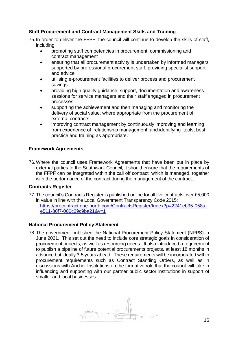## <span id="page-15-0"></span>**Staff Procurement and Contract Management Skills and Training**

75.In order to deliver the FFPF, the council will continue to develop the skills of staff, including:

- promoting staff competencies in procurement, commissioning and contract management
- ensuring that all procurement activity is undertaken by informed managers supported by professional procurement staff, providing specialist support and advice
- utilising e-procurement facilities to deliver process and procurement savings
- providing high quality guidance, support, documentation and awareness sessions for service managers and their staff engaged in procurement processes
- supporting the achievement and then managing and monitoring the delivery of social value, where appropriate from the procurement of external contracts
- improving contract management by continuously improving and learning from experience of 'relationship management' and identifying tools, best practice and training as appropriate.

## <span id="page-15-1"></span>**Framework Agreements**

76.Where the council uses Framework Agreements that have been put in place by external parties to the Southwark Council, it should ensure that the requirements of the FFPF can be integrated within the call off contract, which is managed, together with the performance of the contract during the management of the contract.

## <span id="page-15-2"></span>**Contracts Register**

77.The council's Contracts Register is published online for all live contracts over £5,000 in value in line with the Local Government Transparency Code 2015: [https://procontract.due-north.com/ContractsRegister/Index?p=2241eb95-058a](https://procontract.due-north.com/ContractsRegister/Index?p=2241eb95-058a-e511-80f7-000c29c9ba21&v=1)[e511-80f7-000c29c9ba21&v=1](https://procontract.due-north.com/ContractsRegister/Index?p=2241eb95-058a-e511-80f7-000c29c9ba21&v=1)

## <span id="page-15-3"></span>**National Procurement Policy Statement**

78.The government published the National Procurement Policy Statement (NPPS) in June 2021. This set out the need to include core strategic goals in consideration of procurement proiects, as well as resourcing needs. It also introduced a requirement to publish a pipeline of future potential procurements projects, at least 18 months in advance but ideally 3-5 years ahead. These requirements will be incorporated within procurement requirements such as Contract Standing Orders, as well as in discussions with Anchor Institutions on the formative role that the council will take in influencing and supporting with our partner public sector institutions in support of smaller and local businesses:

<span id="page-15-4"></span>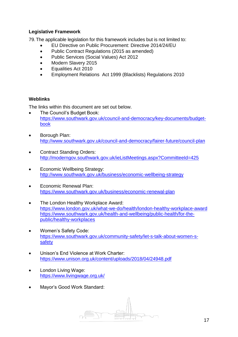## **Legislative Framework**

79.The applicable legislation for this framework includes but is not limited to:

- EU Directive on Public Procurement: Directive 2014/24/EU
- Public Contract Regulations (2015 as amended)
- Public Services (Social Values) Act 2012
- Modern Slavery 2015
- Equalities Act 2010
- Employment Relations Act 1999 (Blacklists) Regulations 2010

## <span id="page-16-0"></span>**Weblinks**

The links within this document are set out below.

- The Council's Budget Book: [https://www.southwark.gov.uk/council-and-democracy/key-documents/budget](https://www.southwark.gov.uk/council-and-democracy/key-documents/budget-book)[book](https://www.southwark.gov.uk/council-and-democracy/key-documents/budget-book)
- Borough Plan: <http://www.southwark.gov.uk/council-and-democracy/fairer-future/council-plan>
- Contract Standing Orders: <http://moderngov.southwark.gov.uk/ieListMeetings.aspx?CommitteeId=425>
- Economic Wellbeing Strategy: <http://www.southwark.gov.uk/business/economic-wellbeing-strategy>
- Economic Renewal Plan: <https://www.southwark.gov.uk/business/economic-renewal-plan>
- The London Healthy Workplace Award: <https://www.london.gov.uk/what-we-do/health/london-healthy-workplace-award> [https://www.southwark.gov.uk/health-and-wellbeing/public-health/for-the](https://www.southwark.gov.uk/health-and-wellbeing/public-health/for-the-public/healthy-workplaces)[public/healthy-workplaces](https://www.southwark.gov.uk/health-and-wellbeing/public-health/for-the-public/healthy-workplaces)
- Women's Safety Code: https://www.southwark.gov.uk/community-safety/let-s-talk-about-women-ssafety
- Unison's End Violence at Work Charter: <https://www.unison.org.uk/content/uploads/2018/04/24948.pdf>
- London Living Wage: <https://www.livingwage.org.uk/>
- Mayor's Good Work Standard:

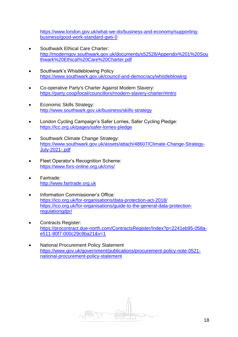[https://www.london.gov.uk/what-we-do/business-and-economy/supporting](https://www.london.gov.uk/what-we-do/business-and-economy/supporting-business/good-work-standard-gws-0)[business/good-work-standard-gws-0](https://www.london.gov.uk/what-we-do/business-and-economy/supporting-business/good-work-standard-gws-0)

- Southwark Ethical Care Charter: [http://moderngov.southwark.gov.uk/documents/s52528/Appendix%201%20Sou](http://moderngov.southwark.gov.uk/documents/s52528/Appendix%201%20Southwark%20Ethical%20Care%20Charter.pdf) [thwark%20Ethical%20Care%20Charter.pdf](http://moderngov.southwark.gov.uk/documents/s52528/Appendix%201%20Southwark%20Ethical%20Care%20Charter.pdf)
- Southwark's Whistleblowing Policy <https://www.southwark.gov.uk/council-and-democracy/whistleblowing>
- Co-operative Party's Charter Against Modern Slavery: <https://party.coop/local/councillors/modern-slavery-charter/#intro>
- Economic Skills Strategy: <http://www.southwark.gov.uk/business/skills-strategy>
- London Cycling Campaign's Safer Lorries, Safer Cycling Pledge: <https://lcc.org.uk/pages/safer-lorries-pledge>
- Southwark Climate Change Strategy: [https://www.southwark.gov.uk/assets/attach/48607/Climate-Change-Strategy-](https://www.southwark.gov.uk/assets/attach/48607/Climate-Change-Strategy-July-2021-.pdf)[July-2021-.pdf](https://www.southwark.gov.uk/assets/attach/48607/Climate-Change-Strategy-July-2021-.pdf)
- Fleet Operator's Recognition Scheme: <https://www.fors-online.org.uk/cms/>
- Fairtrade: [http://www.fairtrade.org.uk](http://www.fairtrade.org.uk/)
- Information Commissioner's Office: <https://ico.org.uk/for-organisations/data-protection-act-2018/> [https://ico.org.uk/for-organisations/guide-to-the-general-data-protection](https://ico.org.uk/for-organisations/guide-to-the-general-data-protection-regulationgdpr/)[regulationgdpr/](https://ico.org.uk/for-organisations/guide-to-the-general-data-protection-regulationgdpr/)
- Contracts Register: [https://procontract.due-north.com/ContractsRegister/Index?p=2241eb95-058a](https://procontract.due-north.com/ContractsRegister/Index?p=2241eb95-058a-e511-80f7-000c29c9ba21&v=1)[e511-80f7-000c29c9ba21&v=1](https://procontract.due-north.com/ContractsRegister/Index?p=2241eb95-058a-e511-80f7-000c29c9ba21&v=1)
- National Procurement Policy Statement [https://www.gov.uk/government/publications/procurement-policy-note-0521](https://www.gov.uk/government/publications/procurement-policy-note-0521-national-procurement-policy-statement) [national-procurement-policy-statement](https://www.gov.uk/government/publications/procurement-policy-note-0521-national-procurement-policy-statement)